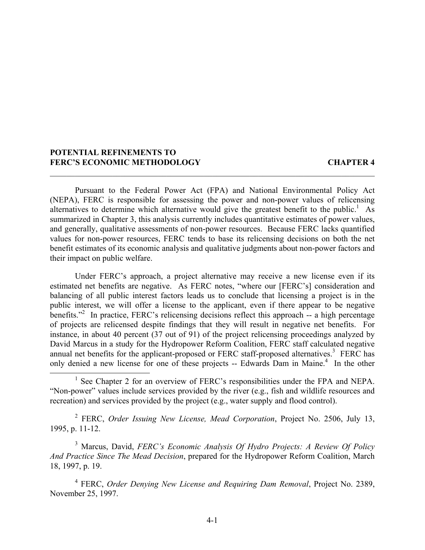# **POTENTIAL REFINEMENTS TO FERC'S ECONOMIC METHODOLOGY CHAPTER 4**

Pursuant to the Federal Power Act (FPA) and National Environmental Policy Act (NEPA), FERC is responsible for assessing the power and non-power values of relicensing alternatives to determine which alternative would give the greatest benefit to the public.<sup>1</sup> As summarized in Chapter 3, this analysis currently includes quantitative estimates of power values, and generally, qualitative assessments of non-power resources. Because FERC lacks quantified values for non-power resources, FERC tends to base its relicensing decisions on both the net benefit estimates of its economic analysis and qualitative judgments about non-power factors and their impact on public welfare.

 $\mathcal{L}_\mathcal{L} = \{ \mathcal{L}_\mathcal{L} = \{ \mathcal{L}_\mathcal{L} = \{ \mathcal{L}_\mathcal{L} = \{ \mathcal{L}_\mathcal{L} = \{ \mathcal{L}_\mathcal{L} = \{ \mathcal{L}_\mathcal{L} = \{ \mathcal{L}_\mathcal{L} = \{ \mathcal{L}_\mathcal{L} = \{ \mathcal{L}_\mathcal{L} = \{ \mathcal{L}_\mathcal{L} = \{ \mathcal{L}_\mathcal{L} = \{ \mathcal{L}_\mathcal{L} = \{ \mathcal{L}_\mathcal{L} = \{ \mathcal{L}_\mathcal{$ 

Under FERC's approach, a project alternative may receive a new license even if its estimated net benefits are negative. As FERC notes, "where our [FERC's] consideration and balancing of all public interest factors leads us to conclude that licensing a project is in the public interest, we will offer a license to the applicant, even if there appear to be negative benefits."<sup>2</sup> In practice, FERC's relicensing decisions reflect this approach  $-$  a high percentage of projects are relicensed despite findings that they will result in negative net benefits. For instance, in about 40 percent (37 out of 91) of the project relicensing proceedings analyzed by David Marcus in a study for the Hydropower Reform Coalition, FERC staff calculated negative annual net benefits for the applicant-proposed or FERC staff-proposed alternatives.<sup>3</sup> FERC has only denied a new license for one of these projects -- Edwards Dam in Maine.<sup>4</sup> In the other

<sup>1</sup> See Chapter 2 for an overview of FERC's responsibilities under the FPA and NEPA. "Non-power" values include services provided by the river (e.g., fish and wildlife resources and recreation) and services provided by the project (e.g., water supply and flood control).

2 FERC, *Order Issuing New License, Mead Corporation*, Project No. 2506, July 13, 1995, p. 11-12.

3 Marcus, David, *FERC's Economic Analysis Of Hydro Projects: A Review Of Policy And Practice Since The Mead Decision*, prepared for the Hydropower Reform Coalition, March 18, 1997, p. 19.

4 FERC, *Order Denying New License and Requiring Dam Removal*, Project No. 2389, November 25, 1997.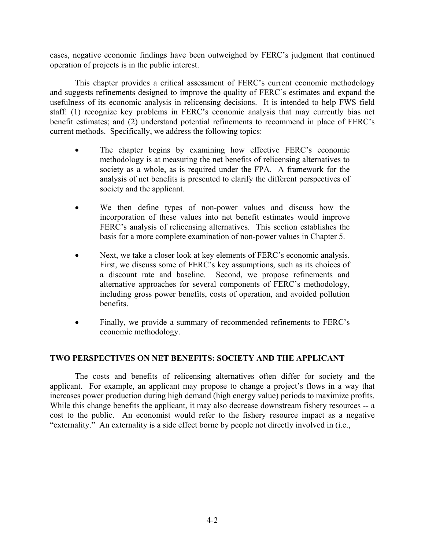cases, negative economic findings have been outweighed by FERC's judgment that continued operation of projects is in the public interest.

This chapter provides a critical assessment of FERC's current economic methodology and suggests refinements designed to improve the quality of FERC's estimates and expand the usefulness of its economic analysis in relicensing decisions. It is intended to help FWS field staff: (1) recognize key problems in FERC's economic analysis that may currently bias net benefit estimates; and (2) understand potential refinements to recommend in place of FERC's current methods. Specifically, we address the following topics:

- The chapter begins by examining how effective FERC's economic methodology is at measuring the net benefits of relicensing alternatives to society as a whole, as is required under the FPA. A framework for the analysis of net benefits is presented to clarify the different perspectives of society and the applicant.
- We then define types of non-power values and discuss how the incorporation of these values into net benefit estimates would improve FERC's analysis of relicensing alternatives. This section establishes the basis for a more complete examination of non-power values in Chapter 5.
- Next, we take a closer look at key elements of FERC's economic analysis. First, we discuss some of FERC's key assumptions, such as its choices of a discount rate and baseline. Second, we propose refinements and alternative approaches for several components of FERC's methodology, including gross power benefits, costs of operation, and avoided pollution benefits.
- Finally, we provide a summary of recommended refinements to FERC's economic methodology.

# **TWO PERSPECTIVES ON NET BENEFITS: SOCIETY AND THE APPLICANT**

The costs and benefits of relicensing alternatives often differ for society and the applicant. For example, an applicant may propose to change a project's flows in a way that increases power production during high demand (high energy value) periods to maximize profits. While this change benefits the applicant, it may also decrease downstream fishery resources -- a cost to the public. An economist would refer to the fishery resource impact as a negative "externality." An externality is a side effect borne by people not directly involved in (i.e.,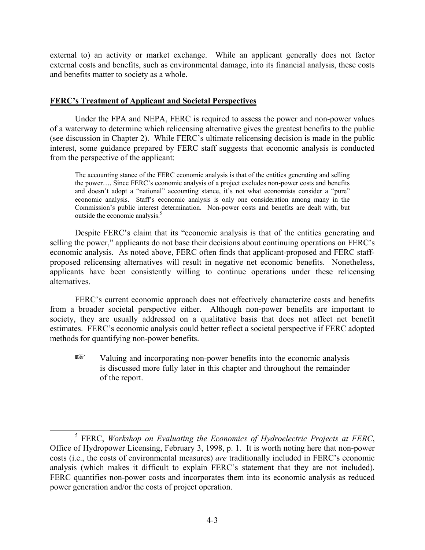external to) an activity or market exchange. While an applicant generally does not factor external costs and benefits, such as environmental damage, into its financial analysis, these costs and benefits matter to society as a whole.

# **FERC's Treatment of Applicant and Societal Perspectives**

Under the FPA and NEPA, FERC is required to assess the power and non-power values of a waterway to determine which relicensing alternative gives the greatest benefits to the public (see discussion in Chapter 2). While FERC's ultimate relicensing decision is made in the public interest, some guidance prepared by FERC staff suggests that economic analysis is conducted from the perspective of the applicant:

The accounting stance of the FERC economic analysis is that of the entities generating and selling the power…. Since FERC's economic analysis of a project excludes non-power costs and benefits and doesn't adopt a "national" accounting stance, it's not what economists consider a "pure" economic analysis. Staff's economic analysis is only one consideration among many in the Commission's public interest determination. Non-power costs and benefits are dealt with, but outside the economic analysis. 5

Despite FERC's claim that its "economic analysis is that of the entities generating and selling the power," applicants do not base their decisions about continuing operations on FERC's economic analysis. As noted above, FERC often finds that applicant-proposed and FERC staffproposed relicensing alternatives will result in negative net economic benefits. Nonetheless, applicants have been consistently willing to continue operations under these relicensing alternatives.

FERC's current economic approach does not effectively characterize costs and benefits from a broader societal perspective either. Although non-power benefits are important to society, they are usually addressed on a qualitative basis that does not affect net benefit estimates. FERC's economic analysis could better reflect a societal perspective if FERC adopted methods for quantifying non-power benefits.

 $E^*$  Valuing and incorporating non-power benefits into the economic analysis is discussed more fully later in this chapter and throughout the remainder of the report.

<sup>5</sup> FERC, *Workshop on Evaluating the Economics of Hydroelectric Projects at FERC*, Office of Hydropower Licensing, February 3, 1998, p. 1. It is worth noting here that non-power costs (i.e., the costs of environmental measures) *are* traditionally included in FERC's economic analysis (which makes it difficult to explain FERC's statement that they are not included). FERC quantifies non-power costs and incorporates them into its economic analysis as reduced power generation and/or the costs of project operation.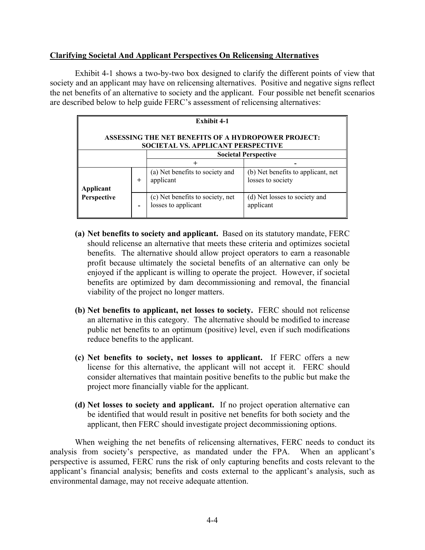# **Clarifying Societal And Applicant Perspectives On Relicensing Alternatives**

Exhibit 4-1 shows a two-by-two box designed to clarify the different points of view that society and an applicant may have on relicensing alternatives. Positive and negative signs reflect the net benefits of an alternative to society and the applicant. Four possible net benefit scenarios are described below to help guide FERC's assessment of relicensing alternatives:

| Exhibit 4-1                                                                                             |          |                                                         |                                                         |  |
|---------------------------------------------------------------------------------------------------------|----------|---------------------------------------------------------|---------------------------------------------------------|--|
| <b>ASSESSING THE NET BENEFITS OF A HYDROPOWER PROJECT:</b><br><b>SOCIETAL VS. APPLICANT PERSPECTIVE</b> |          |                                                         |                                                         |  |
| <b>Societal Perspective</b>                                                                             |          |                                                         |                                                         |  |
|                                                                                                         |          |                                                         |                                                         |  |
| Applicant                                                                                               | $\,{}^+$ | (a) Net benefits to society and<br>applicant            | (b) Net benefits to applicant, net<br>losses to society |  |
| Perspective                                                                                             |          | (c) Net benefits to society, net<br>losses to applicant | (d) Net losses to society and<br>applicant              |  |

- **(a) Net benefits to society and applicant.** Based on its statutory mandate, FERC should relicense an alternative that meets these criteria and optimizes societal benefits. The alternative should allow project operators to earn a reasonable profit because ultimately the societal benefits of an alternative can only be enjoyed if the applicant is willing to operate the project. However, if societal benefits are optimized by dam decommissioning and removal, the financial viability of the project no longer matters.
- **(b) Net benefits to applicant, net losses to society.** FERC should not relicense an alternative in this category. The alternative should be modified to increase public net benefits to an optimum (positive) level, even if such modifications reduce benefits to the applicant.
- **(c) Net benefits to society, net losses to applicant.** If FERC offers a new license for this alternative, the applicant will not accept it. FERC should consider alternatives that maintain positive benefits to the public but make the project more financially viable for the applicant.
- **(d) Net losses to society and applicant.** If no project operation alternative can be identified that would result in positive net benefits for both society and the applicant, then FERC should investigate project decommissioning options.

When weighing the net benefits of relicensing alternatives, FERC needs to conduct its analysis from society's perspective, as mandated under the FPA. When an applicant's perspective is assumed, FERC runs the risk of only capturing benefits and costs relevant to the applicant's financial analysis; benefits and costs external to the applicant's analysis, such as environmental damage, may not receive adequate attention.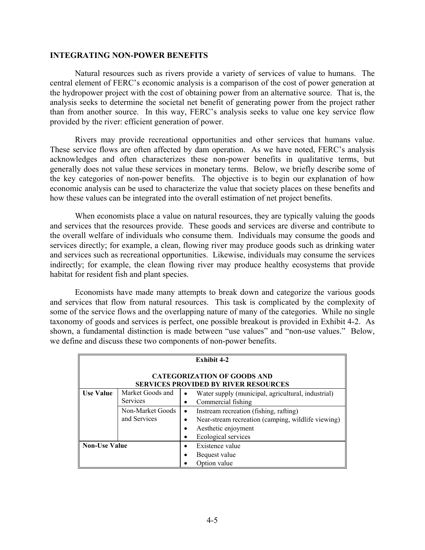#### **INTEGRATING NON-POWER BENEFITS**

Natural resources such as rivers provide a variety of services of value to humans. The central element of FERC's economic analysis is a comparison of the cost of power generation at the hydropower project with the cost of obtaining power from an alternative source. That is, the analysis seeks to determine the societal net benefit of generating power from the project rather than from another source. In this way, FERC's analysis seeks to value one key service flow provided by the river: efficient generation of power.

Rivers may provide recreational opportunities and other services that humans value. These service flows are often affected by dam operation. As we have noted, FERC's analysis acknowledges and often characterizes these non-power benefits in qualitative terms, but generally does not value these services in monetary terms. Below, we briefly describe some of the key categories of non-power benefits. The objective is to begin our explanation of how economic analysis can be used to characterize the value that society places on these benefits and how these values can be integrated into the overall estimation of net project benefits.

When economists place a value on natural resources, they are typically valuing the goods and services that the resources provide. These goods and services are diverse and contribute to the overall welfare of individuals who consume them. Individuals may consume the goods and services directly; for example, a clean, flowing river may produce goods such as drinking water and services such as recreational opportunities. Likewise, individuals may consume the services indirectly; for example, the clean flowing river may produce healthy ecosystems that provide habitat for resident fish and plant species.

Economists have made many attempts to break down and categorize the various goods and services that flow from natural resources. This task is complicated by the complexity of some of the service flows and the overlapping nature of many of the categories. While no single taxonomy of goods and services is perfect, one possible breakout is provided in Exhibit 4-2. As shown, a fundamental distinction is made between "use values" and "non-use values." Below, we define and discuss these two components of non-power benefits.

| <b>Exhibit 4-2</b>                                                                |                                     |                                                                                                                                                         |  |  |
|-----------------------------------------------------------------------------------|-------------------------------------|---------------------------------------------------------------------------------------------------------------------------------------------------------|--|--|
| <b>CATEGORIZATION OF GOODS AND</b><br><b>SERVICES PROVIDED BY RIVER RESOURCES</b> |                                     |                                                                                                                                                         |  |  |
| <b>Use Value</b>                                                                  | Market Goods and<br><b>Services</b> | Water supply (municipal, agricultural, industrial)<br>$\bullet$<br>Commercial fishing                                                                   |  |  |
|                                                                                   | Non-Market Goods<br>and Services    | Instream recreation (fishing, rafting)<br>$\bullet$<br>Near-stream recreation (camping, wildlife viewing)<br>Aesthetic enjoyment<br>Ecological services |  |  |
| <b>Non-Use Value</b>                                                              |                                     | Existence value<br>Bequest value<br>Option value                                                                                                        |  |  |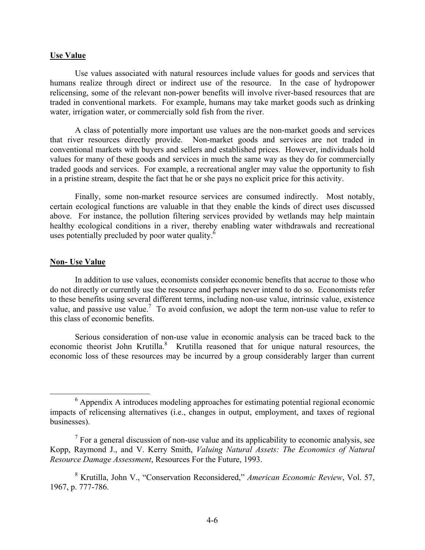#### **Use Value**

Use values associated with natural resources include values for goods and services that humans realize through direct or indirect use of the resource. In the case of hydropower relicensing, some of the relevant non-power benefits will involve river-based resources that are traded in conventional markets. For example, humans may take market goods such as drinking water, irrigation water, or commercially sold fish from the river.

A class of potentially more important use values are the non-market goods and services that river resources directly provide. Non-market goods and services are not traded in conventional markets with buyers and sellers and established prices. However, individuals hold values for many of these goods and services in much the same way as they do for commercially traded goods and services. For example, a recreational angler may value the opportunity to fish in a pristine stream, despite the fact that he or she pays no explicit price for this activity.

Finally, some non-market resource services are consumed indirectly. Most notably, certain ecological functions are valuable in that they enable the kinds of direct uses discussed above. For instance, the pollution filtering services provided by wetlands may help maintain healthy ecological conditions in a river, thereby enabling water withdrawals and recreational uses potentially precluded by poor water quality.<sup>6</sup>

#### **Non- Use Value**

In addition to use values, economists consider economic benefits that accrue to those who do not directly or currently use the resource and perhaps never intend to do so. Economists refer to these benefits using several different terms, including non-use value, intrinsic value, existence value, and passive use value.<sup>7</sup> To avoid confusion, we adopt the term non-use value to refer to this class of economic benefits.

Serious consideration of non-use value in economic analysis can be traced back to the economic theorist John Krutilla.<sup>8</sup> Krutilla reasoned that for unique natural resources, the economic loss of these resources may be incurred by a group considerably larger than current

<sup>&</sup>lt;sup>6</sup> Appendix A introduces modeling approaches for estimating potential regional economic impacts of relicensing alternatives (i.e., changes in output, employment, and taxes of regional businesses).

 $<sup>7</sup>$  For a general discussion of non-use value and its applicability to economic analysis, see</sup> Kopp, Raymond J., and V. Kerry Smith, *Valuing Natural Assets: The Economics of Natural Resource Damage Assessment*, Resources For the Future, 1993.

<sup>8</sup> Krutilla, John V., "Conservation Reconsidered," *American Economic Review*, Vol. 57, 1967, p. 777-786.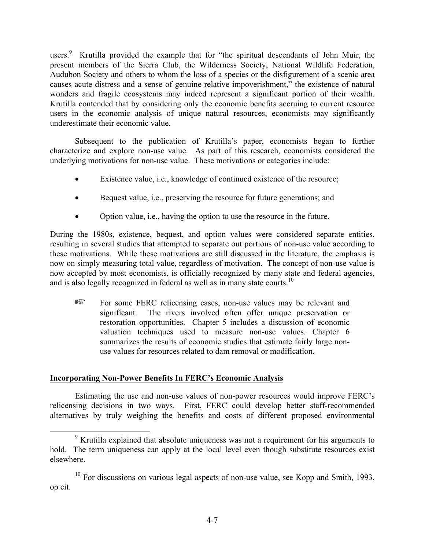users.<sup>9</sup> Krutilla provided the example that for "the spiritual descendants of John Muir, the present members of the Sierra Club, the Wilderness Society, National Wildlife Federation, Audubon Society and others to whom the loss of a species or the disfigurement of a scenic area causes acute distress and a sense of genuine relative impoverishment," the existence of natural wonders and fragile ecosystems may indeed represent a significant portion of their wealth. Krutilla contended that by considering only the economic benefits accruing to current resource users in the economic analysis of unique natural resources, economists may significantly underestimate their economic value.

Subsequent to the publication of Krutilla's paper, economists began to further characterize and explore non-use value. As part of this research, economists considered the underlying motivations for non-use value. These motivations or categories include:

- Existence value, i.e., knowledge of continued existence of the resource;
- Bequest value, i.e., preserving the resource for future generations; and
- Option value, i.e., having the option to use the resource in the future.

During the 1980s, existence, bequest, and option values were considered separate entities, resulting in several studies that attempted to separate out portions of non-use value according to these motivations. While these motivations are still discussed in the literature, the emphasis is now on simply measuring total value, regardless of motivation. The concept of non-use value is now accepted by most economists, is officially recognized by many state and federal agencies, and is also legally recognized in federal as well as in many state courts.<sup>10</sup>

For some FERC relicensing cases, non-use values may be relevant and significant. The rivers involved often offer unique preservation or restoration opportunities. Chapter 5 includes a discussion of economic valuation techniques used to measure non-use values. Chapter 6 summarizes the results of economic studies that estimate fairly large nonuse values for resources related to dam removal or modification.

# **Incorporating Non-Power Benefits In FERC's Economic Analysis**

Estimating the use and non-use values of non-power resources would improve FERC's relicensing decisions in two ways. First, FERC could develop better staff-recommended alternatives by truly weighing the benefits and costs of different proposed environmental

 $9$  Krutilla explained that absolute uniqueness was not a requirement for his arguments to hold. The term uniqueness can apply at the local level even though substitute resources exist elsewhere.

 $10$  For discussions on various legal aspects of non-use value, see Kopp and Smith, 1993, op cit.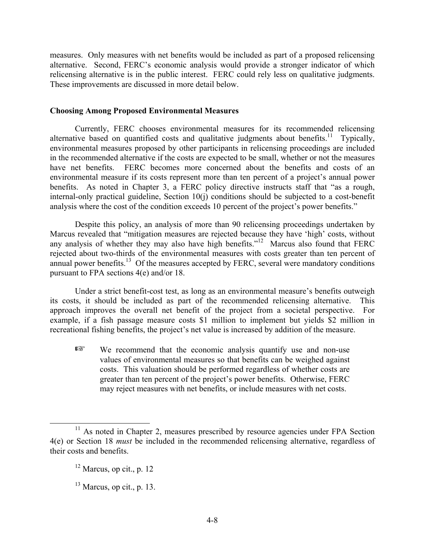measures. Only measures with net benefits would be included as part of a proposed relicensing alternative. Second, FERC's economic analysis would provide a stronger indicator of which relicensing alternative is in the public interest. FERC could rely less on qualitative judgments. These improvements are discussed in more detail below.

# **Choosing Among Proposed Environmental Measures**

Currently, FERC chooses environmental measures for its recommended relicensing alternative based on quantified costs and qualitative judgments about benefits.<sup>11</sup> Typically, environmental measures proposed by other participants in relicensing proceedings are included in the recommended alternative if the costs are expected to be small, whether or not the measures have net benefits. FERC becomes more concerned about the benefits and costs of an environmental measure if its costs represent more than ten percent of a project's annual power benefits. As noted in Chapter 3, a FERC policy directive instructs staff that "as a rough, internal-only practical guideline, Section 10(j) conditions should be subjected to a cost-benefit analysis where the cost of the condition exceeds 10 percent of the project's power benefits."

Despite this policy, an analysis of more than 90 relicensing proceedings undertaken by Marcus revealed that "mitigation measures are rejected because they have 'high' costs, without any analysis of whether they may also have high benefits."<sup>12</sup> Marcus also found that FERC rejected about two-thirds of the environmental measures with costs greater than ten percent of annual power benefits.<sup>13</sup> Of the measures accepted by FERC, several were mandatory conditions pursuant to FPA sections 4(e) and/or 18.

Under a strict benefit-cost test, as long as an environmental measure's benefits outweigh its costs, it should be included as part of the recommended relicensing alternative. This approach improves the overall net benefit of the project from a societal perspective. For example, if a fish passage measure costs \$1 million to implement but yields \$2 million in recreational fishing benefits, the project's net value is increased by addition of the measure.

 $E^*$  We recommend that the economic analysis quantify use and non-use values of environmental measures so that benefits can be weighed against costs. This valuation should be performed regardless of whether costs are greater than ten percent of the project's power benefits. Otherwise, FERC may reject measures with net benefits, or include measures with net costs.

<sup>&</sup>lt;sup>11</sup> As noted in Chapter 2, measures prescribed by resource agencies under FPA Section 4(e) or Section 18 *must* be included in the recommended relicensing alternative, regardless of their costs and benefits.

 $12$  Marcus, op cit., p. 12

 $13$  Marcus, op cit., p. 13.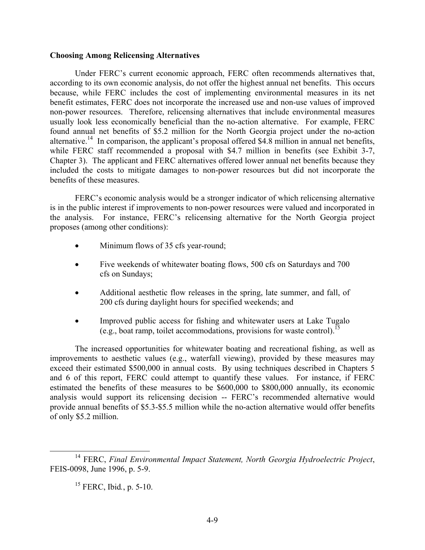#### **Choosing Among Relicensing Alternatives**

Under FERC's current economic approach, FERC often recommends alternatives that, according to its own economic analysis, do not offer the highest annual net benefits. This occurs because, while FERC includes the cost of implementing environmental measures in its net benefit estimates, FERC does not incorporate the increased use and non-use values of improved non-power resources. Therefore, relicensing alternatives that include environmental measures usually look less economically beneficial than the no-action alternative. For example, FERC found annual net benefits of \$5.2 million for the North Georgia project under the no-action alternative.<sup>14</sup> In comparison, the applicant's proposal offered \$4.8 million in annual net benefits, while FERC staff recommended a proposal with \$4.7 million in benefits (see Exhibit 3-7, Chapter 3). The applicant and FERC alternatives offered lower annual net benefits because they included the costs to mitigate damages to non-power resources but did not incorporate the benefits of these measures.

FERC's economic analysis would be a stronger indicator of which relicensing alternative is in the public interest if improvements to non-power resources were valued and incorporated in the analysis. For instance, FERC's relicensing alternative for the North Georgia project proposes (among other conditions):

- Minimum flows of 35 cfs year-round;
- Five weekends of whitewater boating flows, 500 cfs on Saturdays and 700 cfs on Sundays;
- Additional aesthetic flow releases in the spring, late summer, and fall, of 200 cfs during daylight hours for specified weekends; and
- Improved public access for fishing and whitewater users at Lake Tugalo (e.g., boat ramp, toilet accommodations, provisions for waste control).<sup>15</sup>

The increased opportunities for whitewater boating and recreational fishing, as well as improvements to aesthetic values (e.g., waterfall viewing), provided by these measures may exceed their estimated \$500,000 in annual costs. By using techniques described in Chapters 5 and 6 of this report, FERC could attempt to quantify these values. For instance, if FERC estimated the benefits of these measures to be \$600,000 to \$800,000 annually, its economic analysis would support its relicensing decision -- FERC's recommended alternative would provide annual benefits of \$5.3-\$5.5 million while the no-action alternative would offer benefits of only \$5.2 million.

<sup>14</sup> FERC, *Final Environmental Impact Statement, North Georgia Hydroelectric Project*, FEIS-0098, June 1996, p. 5-9.

<sup>15</sup> FERC, Ibid*.*, p. 5-10.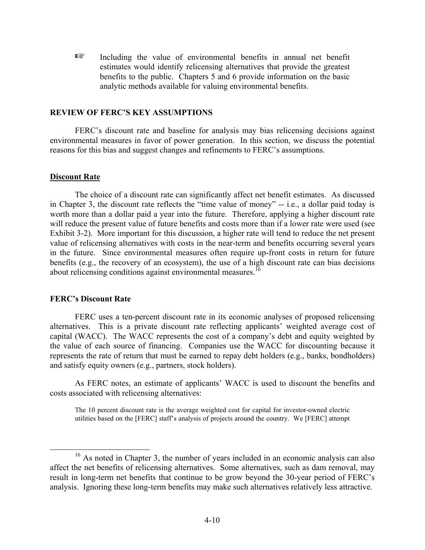$E^*$  Including the value of environmental benefits in annual net benefit estimates would identify relicensing alternatives that provide the greatest benefits to the public. Chapters 5 and 6 provide information on the basic analytic methods available for valuing environmental benefits.

#### **REVIEW OF FERC'S KEY ASSUMPTIONS**

FERC's discount rate and baseline for analysis may bias relicensing decisions against environmental measures in favor of power generation. In this section, we discuss the potential reasons for this bias and suggest changes and refinements to FERC's assumptions.

### **Discount Rate**

The choice of a discount rate can significantly affect net benefit estimates. As discussed in Chapter 3, the discount rate reflects the "time value of money" -- i.e., a dollar paid today is worth more than a dollar paid a year into the future. Therefore, applying a higher discount rate will reduce the present value of future benefits and costs more than if a lower rate were used (see Exhibit 3-2). More important for this discussion, a higher rate will tend to reduce the net present value of relicensing alternatives with costs in the near-term and benefits occurring several years in the future. Since environmental measures often require up-front costs in return for future benefits (e.g., the recovery of an ecosystem), the use of a high discount rate can bias decisions about relicensing conditions against environmental measures.<sup>16</sup>

# **FERC's Discount Rate**

FERC uses a ten-percent discount rate in its economic analyses of proposed relicensing alternatives. This is a private discount rate reflecting applicants' weighted average cost of capital (WACC). The WACC represents the cost of a company's debt and equity weighted by the value of each source of financing. Companies use the WACC for discounting because it represents the rate of return that must be earned to repay debt holders (e.g., banks, bondholders) and satisfy equity owners (e.g., partners, stock holders).

As FERC notes, an estimate of applicants' WACC is used to discount the benefits and costs associated with relicensing alternatives:

The 10 percent discount rate is the average weighted cost for capital for investor-owned electric utilities based on the [FERC] staff's analysis of projects around the country. We [FERC] attempt

<sup>&</sup>lt;sup>16</sup> As noted in Chapter 3, the number of years included in an economic analysis can also affect the net benefits of relicensing alternatives. Some alternatives, such as dam removal, may result in long-term net benefits that continue to be grow beyond the 30-year period of FERC's analysis. Ignoring these long-term benefits may make such alternatives relatively less attractive.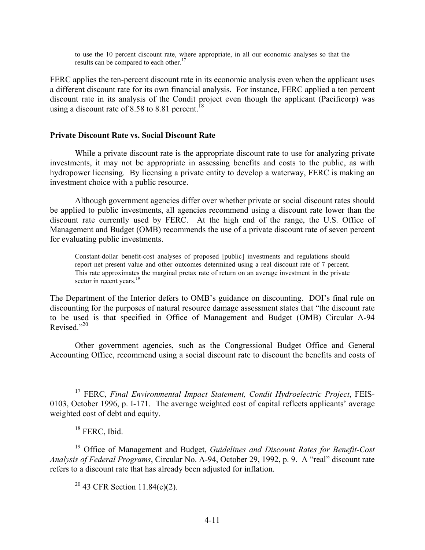to use the 10 percent discount rate, where appropriate, in all our economic analyses so that the results can be compared to each other.<sup>17</sup>

FERC applies the ten-percent discount rate in its economic analysis even when the applicant uses a different discount rate for its own financial analysis. For instance, FERC applied a ten percent discount rate in its analysis of the Condit project even though the applicant (Pacificorp) was using a discount rate of 8.58 to 8.81 percent.<sup>18</sup>

#### **Private Discount Rate vs. Social Discount Rate**

While a private discount rate is the appropriate discount rate to use for analyzing private investments, it may not be appropriate in assessing benefits and costs to the public, as with hydropower licensing. By licensing a private entity to develop a waterway, FERC is making an investment choice with a public resource.

Although government agencies differ over whether private or social discount rates should be applied to public investments, all agencies recommend using a discount rate lower than the discount rate currently used by FERC. At the high end of the range, the U.S. Office of Management and Budget (OMB) recommends the use of a private discount rate of seven percent for evaluating public investments.

Constant-dollar benefit-cost analyses of proposed [public] investments and regulations should report net present value and other outcomes determined using a real discount rate of 7 percent. This rate approximates the marginal pretax rate of return on an average investment in the private sector in recent years.<sup>19</sup>

The Department of the Interior defers to OMB's guidance on discounting. DOI's final rule on discounting for the purposes of natural resource damage assessment states that "the discount rate to be used is that specified in Office of Management and Budget (OMB) Circular A-94 Revised."<sup>20</sup>

Other government agencies, such as the Congressional Budget Office and General Accounting Office, recommend using a social discount rate to discount the benefits and costs of

 $20$  43 CFR Section 11.84(e)(2).

<sup>17</sup> FERC, *Final Environmental Impact Statement, Condit Hydroelectric Project*, FEIS-0103, October 1996, p. I-171. The average weighted cost of capital reflects applicants' average weighted cost of debt and equity.

<sup>&</sup>lt;sup>18</sup> FERC, Ibid.

<sup>19</sup> Office of Management and Budget, *Guidelines and Discount Rates for Benefit-Cost Analysis of Federal Programs*, Circular No. A-94, October 29, 1992, p. 9. A "real" discount rate refers to a discount rate that has already been adjusted for inflation.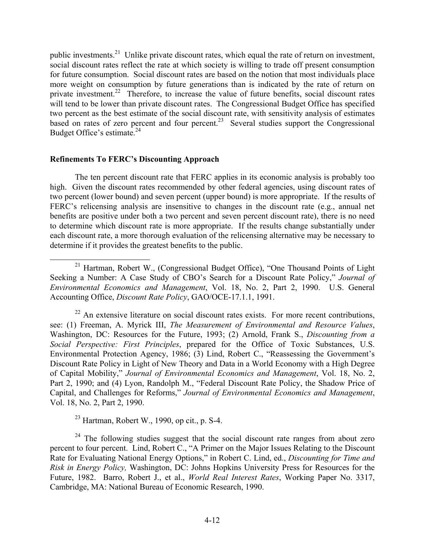public investments.<sup>21</sup> Unlike private discount rates, which equal the rate of return on investment, social discount rates reflect the rate at which society is willing to trade off present consumption for future consumption. Social discount rates are based on the notion that most individuals place more weight on consumption by future generations than is indicated by the rate of return on private investment.<sup>22</sup> Therefore, to increase the value of future benefits, social discount rates will tend to be lower than private discount rates. The Congressional Budget Office has specified two percent as the best estimate of the social discount rate, with sensitivity analysis of estimates based on rates of zero percent and four percent.<sup>23</sup> Several studies support the Congressional Budget Office's estimate.<sup>24</sup>

### **Refinements To FERC's Discounting Approach**

The ten percent discount rate that FERC applies in its economic analysis is probably too high. Given the discount rates recommended by other federal agencies, using discount rates of two percent (lower bound) and seven percent (upper bound) is more appropriate. If the results of FERC's relicensing analysis are insensitive to changes in the discount rate (e.g., annual net benefits are positive under both a two percent and seven percent discount rate), there is no need to determine which discount rate is more appropriate. If the results change substantially under each discount rate, a more thorough evaluation of the relicensing alternative may be necessary to determine if it provides the greatest benefits to the public.

 $23$  Hartman, Robert W., 1990, op cit., p. S-4.

<sup>24</sup> The following studies suggest that the social discount rate ranges from about zero percent to four percent. Lind, Robert C., "A Primer on the Major Issues Relating to the Discount Rate for Evaluating National Energy Options," in Robert C. Lind, ed., *Discounting for Time and Risk in Energy Policy,* Washington, DC: Johns Hopkins University Press for Resources for the Future, 1982. Barro, Robert J., et al., *World Real Interest Rates*, Working Paper No. 3317, Cambridge, MA: National Bureau of Economic Research, 1990.

<sup>&</sup>lt;sup>21</sup> Hartman, Robert W., (Congressional Budget Office), "One Thousand Points of Light Seeking a Number: A Case Study of CBO's Search for a Discount Rate Policy," *Journal of Environmental Economics and Management*, Vol. 18, No. 2, Part 2, 1990. U.S. General Accounting Office, *Discount Rate Policy*, GAO/OCE-17.1.1, 1991.

 $22$  An extensive literature on social discount rates exists. For more recent contributions, see: (1) Freeman, A. Myrick III, *The Measurement of Environmental and Resource Values*, Washington, DC: Resources for the Future, 1993; (2) Arnold, Frank S., *Discounting from a Social Perspective: First Principles*, prepared for the Office of Toxic Substances, U.S. Environmental Protection Agency, 1986; (3) Lind, Robert C., "Reassessing the Government's Discount Rate Policy in Light of New Theory and Data in a World Economy with a High Degree of Capital Mobility," *Journal of Environmental Economics and Management*, Vol. 18, No. 2, Part 2, 1990; and (4) Lyon, Randolph M., "Federal Discount Rate Policy, the Shadow Price of Capital, and Challenges for Reforms," *Journal of Environmental Economics and Management*, Vol. 18, No. 2, Part 2, 1990.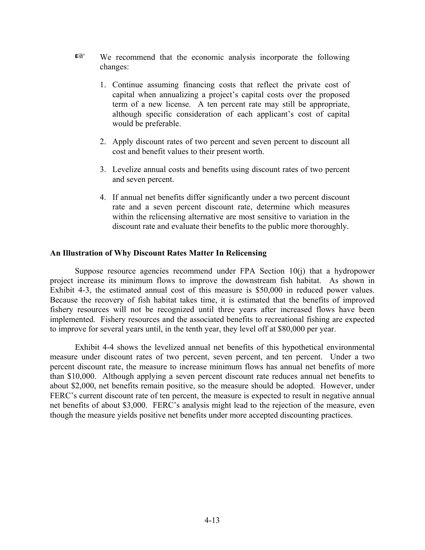- $E^*$  We recommend that the economic analysis incorporate the following changes:
	- 1. Continue assuming financing costs that reflect the private cost of capital when annualizing a project's capital costs over the proposed term of a new license. A ten percent rate may still be appropriate, although specific consideration of each applicant's cost of capital would be preferable.
	- 2. Apply discount rates of two percent and seven percent to discount all cost and benefit values to their present worth.
	- 3. Levelize annual costs and benefits using discount rates of two percent and seven percent.
	- 4. If annual net benefits differ significantly under a two percent discount rate and a seven percent discount rate, determine which measures within the relicensing alternative are most sensitive to variation in the discount rate and evaluate their benefits to the public more thoroughly.

#### **An Illustration of Why Discount Rates Matter In Relicensing**

Suppose resource agencies recommend under FPA Section 10(j) that a hydropower project increase its minimum flows to improve the downstream fish habitat. As shown in Exhibit 4-3, the estimated annual cost of this measure is \$50,000 in reduced power values. Because the recovery of fish habitat takes time, it is estimated that the benefits of improved fishery resources will not be recognized until three years after increased flows have been implemented. Fishery resources and the associated benefits to recreational fishing are expected to improve for several years until, in the tenth year, they level off at \$80,000 per year.

Exhibit 4-4 shows the levelized annual net benefits of this hypothetical environmental measure under discount rates of two percent, seven percent, and ten percent. Under a two percent discount rate, the measure to increase minimum flows has annual net benefits of more than \$10,000. Although applying a seven percent discount rate reduces annual net benefits to about \$2,000, net benefits remain positive, so the measure should be adopted. However, under FERC's current discount rate of ten percent, the measure is expected to result in negative annual net benefits of about \$3,000. FERC's analysis might lead to the rejection of the measure, even though the measure yields positive net benefits under more accepted discounting practices.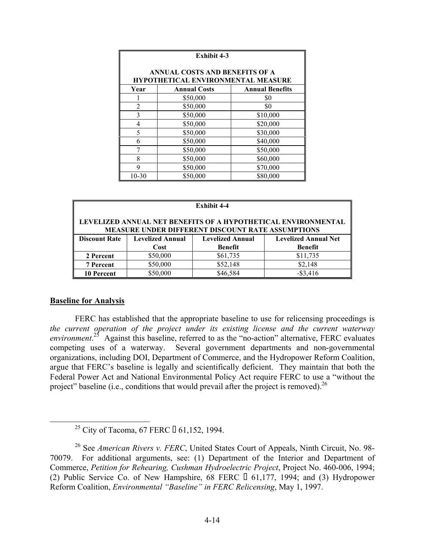| <b>Exhibit 4-3</b>                                                          |                     |                        |  |
|-----------------------------------------------------------------------------|---------------------|------------------------|--|
| ANNUAL COSTS AND BENEFITS OF A<br><b>HYPOTHETICAL ENVIRONMENTAL MEASURE</b> |                     |                        |  |
| Year                                                                        | <b>Annual Costs</b> | <b>Annual Benefits</b> |  |
|                                                                             | \$50,000            | \$0                    |  |
| $\overline{2}$                                                              | \$50,000            | \$0                    |  |
| 3                                                                           | \$50,000            | \$10,000               |  |
| 4                                                                           | \$50,000            | \$20,000               |  |
| 5                                                                           | \$50,000            | \$30,000               |  |
| 6                                                                           | \$50,000            | \$40,000               |  |
| 7                                                                           | \$50,000            | \$50,000               |  |
| 8                                                                           | \$50,000            | \$60,000               |  |
| 9                                                                           | \$50,000            | \$70,000               |  |
| $10 - 30$                                                                   | \$50,000            | \$80,000               |  |

| <b>Exhibit 4-4</b>                                                                                                 |                         |                         |                             |  |
|--------------------------------------------------------------------------------------------------------------------|-------------------------|-------------------------|-----------------------------|--|
| LEVELIZED ANNUAL NET BENEFITS OF A HYPOTHETICAL ENVIRONMENTAL<br>MEASURE UNDER DIFFERENT DISCOUNT RATE ASSUMPTIONS |                         |                         |                             |  |
| <b>Discount Rate</b>                                                                                               | <b>Levelized Annual</b> | <b>Levelized Annual</b> | <b>Levelized Annual Net</b> |  |
|                                                                                                                    | Cost                    | <b>Benefit</b>          | <b>Benefit</b>              |  |
| 2 Percent                                                                                                          | \$50,000                | \$61,735                | \$11,735                    |  |
| <b>7 Percent</b>                                                                                                   | \$50,000                | \$52,148                | \$2,148                     |  |
| 10 Percent                                                                                                         | \$50,000                | \$46,584                | $-$ \$3,416                 |  |

# **Baseline for Analysis**

FERC has established that the appropriate baseline to use for relicensing proceedings is *the current operation of the project under its existing license and the current waterway*  environment.<sup>25</sup> Against this baseline, referred to as the "no-action" alternative, FERC evaluates competing uses of a waterway. Several government departments and non-governmental organizations, including DOI, Department of Commerce, and the Hydropower Reform Coalition, argue that FERC's baseline is legally and scientifically deficient. They maintain that both the Federal Power Act and National Environmental Policy Act require FERC to use a "without the project" baseline (i.e., conditions that would prevail after the project is removed).  $^{26}$ 

<sup>&</sup>lt;sup>25</sup> City of Tacoma, 67 FERC  $\Box$  61,152, 1994.

<sup>26</sup> See *American Rivers v. FERC*, United States Court of Appeals, Ninth Circuit, No. 98- 70079. For additional arguments, see: (1) Department of the Interior and Department of Commerce, *Petition for Rehearing, Cushman Hydroelectric Project*, Project No. 460-006, 1994; (2) Public Service Co. of New Hampshire, 68 FERC  $\Box$  61,177, 1994; and (3) Hydropower Reform Coalition, *Environmental "Baseline" in FERC Relicensing*, May 1, 1997.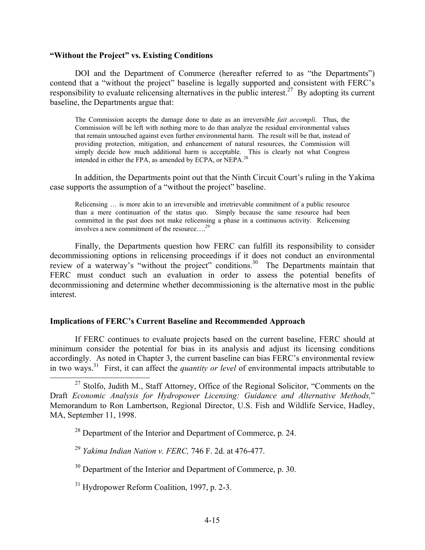#### **"Without the Project" vs. Existing Conditions**

DOI and the Department of Commerce (hereafter referred to as "the Departments") contend that a "without the project" baseline is legally supported and consistent with FERC's responsibility to evaluate relicensing alternatives in the public interest.<sup>27</sup> By adopting its current baseline, the Departments argue that:

The Commission accepts the damage done to date as an irreversible *fait accompli*. Thus, the Commission will be left with nothing more to do than analyze the residual environmental values that remain untouched against even further environmental harm. The result will be that, instead of providing protection, mitigation, and enhancement of natural resources, the Commission will simply decide how much additional harm is acceptable. This is clearly not what Congress intended in either the FPA, as amended by ECPA, or NEPA.<sup>28</sup>

In addition, the Departments point out that the Ninth Circuit Court's ruling in the Yakima case supports the assumption of a "without the project" baseline.

Relicensing … is more akin to an irreversible and irretrievable commitment of a public resource than a mere continuation of the status quo. Simply because the same resource had been committed in the past does not make relicensing a phase in a continuous activity. Relicensing involves a new commitment of the resource….<sup>29</sup>

Finally, the Departments question how FERC can fulfill its responsibility to consider decommissioning options in relicensing proceedings if it does not conduct an environmental review of a waterway's "without the project" conditions.<sup>30</sup> The Departments maintain that FERC must conduct such an evaluation in order to assess the potential benefits of decommissioning and determine whether decommissioning is the alternative most in the public interest.

#### **Implications of FERC's Current Baseline and Recommended Approach**

If FERC continues to evaluate projects based on the current baseline, FERC should at minimum consider the potential for bias in its analysis and adjust its licensing conditions accordingly. As noted in Chapter 3, the current baseline can bias FERC's environmental review in two ways.<sup>31</sup> First, it can affect the *quantity or level* of environmental impacts attributable to

 $27$  Stolfo, Judith M., Staff Attorney, Office of the Regional Solicitor, "Comments on the Draft *Economic Analysis for Hydropower Licensing: Guidance and Alternative Methods,*" Memorandum to Ron Lambertson, Regional Director, U.S. Fish and Wildlife Service, Hadley, MA, September 11, 1998.

<sup>28</sup> Department of the Interior and Department of Commerce, p. 24.

<sup>29</sup>*Yakima Indian Nation v. FERC,* 746 F. 2d. at 476-477.

<sup>30</sup> Department of the Interior and Department of Commerce, p. 30.

31 Hydropower Reform Coalition, 1997, p. 2-3.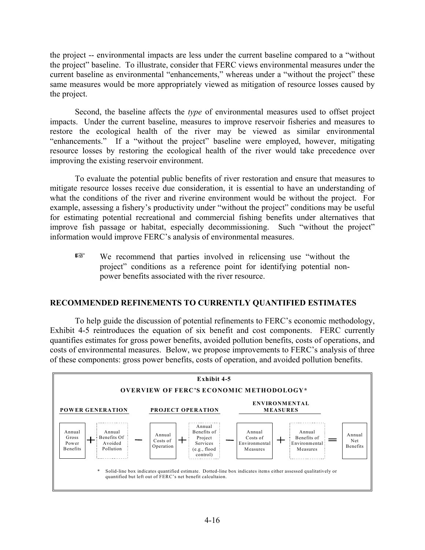the project -- environmental impacts are less under the current baseline compared to a "without the project" baseline. To illustrate, consider that FERC views environmental measures under the current baseline as environmental "enhancements," whereas under a "without the project" these same measures would be more appropriately viewed as mitigation of resource losses caused by the project.

Second, the baseline affects the *type* of environmental measures used to offset project impacts. Under the current baseline, measures to improve reservoir fisheries and measures to restore the ecological health of the river may be viewed as similar environmental "enhancements." If a "without the project" baseline were employed, however, mitigating resource losses by restoring the ecological health of the river would take precedence over improving the existing reservoir environment.

To evaluate the potential public benefits of river restoration and ensure that measures to mitigate resource losses receive due consideration, it is essential to have an understanding of what the conditions of the river and riverine environment would be without the project. For example, assessing a fishery's productivity under "without the project" conditions may be useful for estimating potential recreational and commercial fishing benefits under alternatives that improve fish passage or habitat, especially decommissioning. Such "without the project" information would improve FERC's analysis of environmental measures.

 $E^*$  We recommend that parties involved in relicensing use "without the project" conditions as a reference point for identifying potential nonpower benefits associated with the river resource.

# **RECOMMENDED REFINEMENTS TO CURRENTLY QUANTIFIED ESTIMATES**

To help guide the discussion of potential refinements to FERC's economic methodology, Exhibit 4-5 reintroduces the equation of six benefit and cost components. FERC currently quantifies estimates for gross power benefits, avoided pollution benefits, costs of operations, and costs of environmental measures. Below, we propose improvements to FERC's analysis of three of these components: gross power benefits, costs of operation, and avoided pollution benefits.

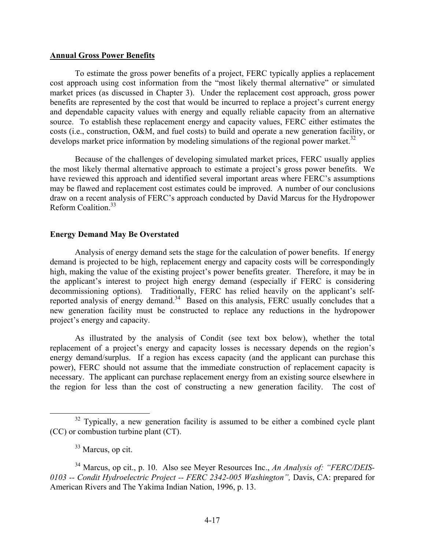#### **Annual Gross Power Benefits**

To estimate the gross power benefits of a project, FERC typically applies a replacement cost approach using cost information from the "most likely thermal alternative" or simulated market prices (as discussed in Chapter 3). Under the replacement cost approach, gross power benefits are represented by the cost that would be incurred to replace a project's current energy and dependable capacity values with energy and equally reliable capacity from an alternative source. To establish these replacement energy and capacity values, FERC either estimates the costs (i.e., construction, O&M, and fuel costs) to build and operate a new generation facility, or develops market price information by modeling simulations of the regional power market.<sup>32</sup>

Because of the challenges of developing simulated market prices, FERC usually applies the most likely thermal alternative approach to estimate a project's gross power benefits. We have reviewed this approach and identified several important areas where FERC's assumptions may be flawed and replacement cost estimates could be improved. A number of our conclusions draw on a recent analysis of FERC's approach conducted by David Marcus for the Hydropower Reform Coalition<sup>33</sup>

# **Energy Demand May Be Overstated**

Analysis of energy demand sets the stage for the calculation of power benefits. If energy demand is projected to be high, replacement energy and capacity costs will be correspondingly high, making the value of the existing project's power benefits greater. Therefore, it may be in the applicant's interest to project high energy demand (especially if FERC is considering decommissioning options). Traditionally, FERC has relied heavily on the applicant's selfreported analysis of energy demand.<sup>34</sup> Based on this analysis, FERC usually concludes that a new generation facility must be constructed to replace any reductions in the hydropower project's energy and capacity.

As illustrated by the analysis of Condit (see text box below), whether the total replacement of a project's energy and capacity losses is necessary depends on the region's energy demand/surplus. If a region has excess capacity (and the applicant can purchase this power), FERC should not assume that the immediate construction of replacement capacity is necessary. The applicant can purchase replacement energy from an existing source elsewhere in the region for less than the cost of constructing a new generation facility. The cost of

 $32$  Typically, a new generation facility is assumed to be either a combined cycle plant (CC) or combustion turbine plant (CT).

<sup>&</sup>lt;sup>33</sup> Marcus, op cit.

<sup>34</sup> Marcus, op cit., p. 10. Also see Meyer Resources Inc., *An Analysis of: "FERC/DEIS-0103 -- Condit Hydroelectric Project -- FERC 2342-005 Washington",* Davis, CA: prepared for American Rivers and The Yakima Indian Nation, 1996, p. 13.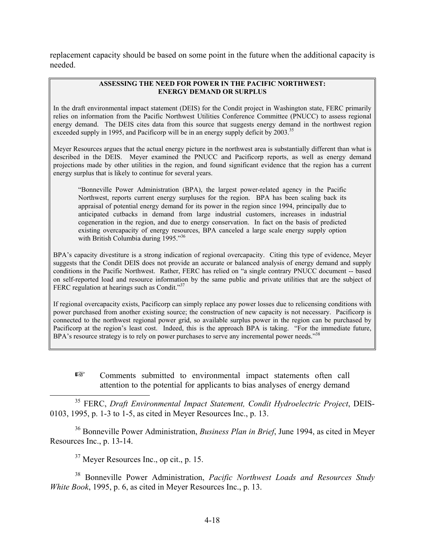replacement capacity should be based on some point in the future when the additional capacity is needed.

#### **ASSESSING THE NEED FOR POWER IN THE PACIFIC NORTHWEST: ENERGY DEMAND OR SURPLUS**

In the draft environmental impact statement (DEIS) for the Condit project in Washington state, FERC primarily relies on information from the Pacific Northwest Utilities Conference Committee (PNUCC) to assess regional energy demand. The DEIS cites data from this source that suggests energy demand in the northwest region exceeded supply in 1995, and Pacificorp will be in an energy supply deficit by  $2003$ .<sup>35</sup>

Meyer Resources argues that the actual energy picture in the northwest area is substantially different than what is described in the DEIS. Meyer examined the PNUCC and Pacificorp reports, as well as energy demand projections made by other utilities in the region, and found significant evidence that the region has a current energy surplus that is likely to continue for several years.

"Bonneville Power Administration (BPA), the largest power-related agency in the Pacific Northwest, reports current energy surpluses for the region. BPA has been scaling back its appraisal of potential energy demand for its power in the region since 1994, principally due to anticipated cutbacks in demand from large industrial customers, increases in industrial cogeneration in the region, and due to energy conservation. In fact on the basis of predicted existing overcapacity of energy resources, BPA canceled a large scale energy supply option with British Columbia during 1995."36

BPA's capacity divestiture is a strong indication of regional overcapacity. Citing this type of evidence, Meyer suggests that the Condit DEIS does not provide an accurate or balanced analysis of energy demand and supply conditions in the Pacific Northwest. Rather, FERC has relied on "a single contrary PNUCC document -- based on self-reported load and resource information by the same public and private utilities that are the subject of FERC regulation at hearings such as Condit."<sup>37</sup>

If regional overcapacity exists, Pacificorp can simply replace any power losses due to relicensing conditions with power purchased from another existing source; the construction of new capacity is not necessary. Pacificorp is connected to the northwest regional power grid, so available surplus power in the region can be purchased by Pacificorp at the region's least cost. Indeed, this is the approach BPA is taking. "For the immediate future, BPA's resource strategy is to rely on power purchases to serve any incremental power needs."<sup>38</sup>

**Execution** Comments submitted to environmental impact statements often call attention to the potential for applicants to bias analyses of energy demand

35 FERC, *Draft Environmental Impact Statement, Condit Hydroelectric Project*, DEIS-0103, 1995, p. 1-3 to 1-5, as cited in Meyer Resources Inc., p. 13.

36 Bonneville Power Administration, *Business Plan in Brief*, June 1994, as cited in Meyer Resources Inc., p. 13-14.

37 Meyer Resources Inc., op cit., p. 15.

38 Bonneville Power Administration, *Pacific Northwest Loads and Resources Study White Book*, 1995, p. 6, as cited in Meyer Resources Inc., p. 13.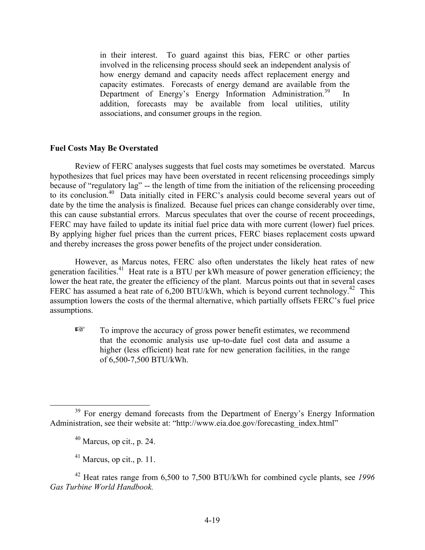in their interest. To guard against this bias, FERC or other parties involved in the relicensing process should seek an independent analysis of how energy demand and capacity needs affect replacement energy and capacity estimates. Forecasts of energy demand are available from the Department of Energy's Energy Information Administration.<sup>39</sup> In addition, forecasts may be available from local utilities, utility associations, and consumer groups in the region.

### **Fuel Costs May Be Overstated**

Review of FERC analyses suggests that fuel costs may sometimes be overstated. Marcus hypothesizes that fuel prices may have been overstated in recent relicensing proceedings simply because of "regulatory lag" -- the length of time from the initiation of the relicensing proceeding to its conclusion.40 Data initially cited in FERC's analysis could become several years out of date by the time the analysis is finalized. Because fuel prices can change considerably over time, this can cause substantial errors. Marcus speculates that over the course of recent proceedings, FERC may have failed to update its initial fuel price data with more current (lower) fuel prices. By applying higher fuel prices than the current prices, FERC biases replacement costs upward and thereby increases the gross power benefits of the project under consideration.

However, as Marcus notes, FERC also often understates the likely heat rates of new generation facilities.<sup>41</sup> Heat rate is a BTU per kWh measure of power generation efficiency; the lower the heat rate, the greater the efficiency of the plant. Marcus points out that in several cases FERC has assumed a heat rate of  $6,200$  BTU/kWh, which is beyond current technology.<sup>42</sup> This assumption lowers the costs of the thermal alternative, which partially offsets FERC's fuel price assumptions.

To improve the accuracy of gross power benefit estimates, we recommend that the economic analysis use up-to-date fuel cost data and assume a higher (less efficient) heat rate for new generation facilities, in the range of 6,500-7,500 BTU/kWh.

<sup>&</sup>lt;sup>39</sup> For energy demand forecasts from the Department of Energy's Energy Information Administration, see their website at: "http://www.eia.doe.gov/forecasting\_index.html"

 $40$  Marcus, op cit., p. 24.

 $41$  Marcus, op cit., p. 11.

<sup>42</sup> Heat rates range from 6,500 to 7,500 BTU/kWh for combined cycle plants, see *1996 Gas Turbine World Handbook.*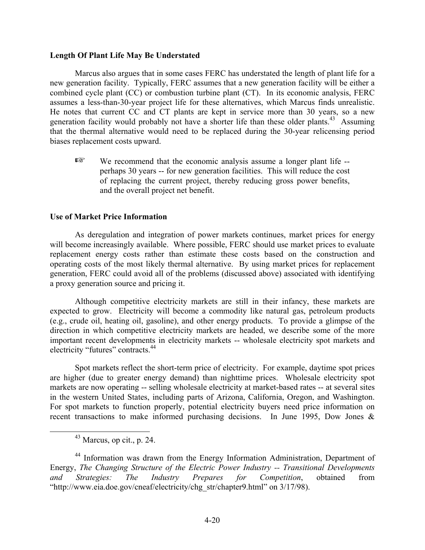#### **Length Of Plant Life May Be Understated**

Marcus also argues that in some cases FERC has understated the length of plant life for a new generation facility. Typically, FERC assumes that a new generation facility will be either a combined cycle plant (CC) or combustion turbine plant (CT). In its economic analysis, FERC assumes a less-than-30-year project life for these alternatives, which Marcus finds unrealistic. He notes that current CC and CT plants are kept in service more than 30 years, so a new generation facility would probably not have a shorter life than these older plants.<sup>43</sup> Assuming that the thermal alternative would need to be replaced during the 30-year relicensing period biases replacement costs upward.

 $E^*$  We recommend that the economic analysis assume a longer plant life -perhaps 30 years -- for new generation facilities. This will reduce the cost of replacing the current project, thereby reducing gross power benefits, and the overall project net benefit.

#### **Use of Market Price Information**

As deregulation and integration of power markets continues, market prices for energy will become increasingly available. Where possible, FERC should use market prices to evaluate replacement energy costs rather than estimate these costs based on the construction and operating costs of the most likely thermal alternative. By using market prices for replacement generation, FERC could avoid all of the problems (discussed above) associated with identifying a proxy generation source and pricing it.

Although competitive electricity markets are still in their infancy, these markets are expected to grow. Electricity will become a commodity like natural gas, petroleum products (e.g., crude oil, heating oil, gasoline), and other energy products. To provide a glimpse of the direction in which competitive electricity markets are headed, we describe some of the more important recent developments in electricity markets -- wholesale electricity spot markets and electricity "futures" contracts.<sup>44</sup>

Spot markets reflect the short-term price of electricity. For example, daytime spot prices are higher (due to greater energy demand) than nighttime prices. Wholesale electricity spot markets are now operating -- selling wholesale electricity at market-based rates -- at several sites in the western United States, including parts of Arizona, California, Oregon, and Washington. For spot markets to function properly, potential electricity buyers need price information on recent transactions to make informed purchasing decisions. In June 1995, Dow Jones &

 $43$  Marcus, op cit., p. 24.

<sup>44</sup> Information was drawn from the Energy Information Administration, Department of Energy, *The Changing Structure of the Electric Power Industry -- Transitional Developments and Strategies: The Industry Prepares for Competition*, obtained from "http://www.eia.doe.gov/cneaf/electricity/chg\_str/chapter9.html" on 3/17/98).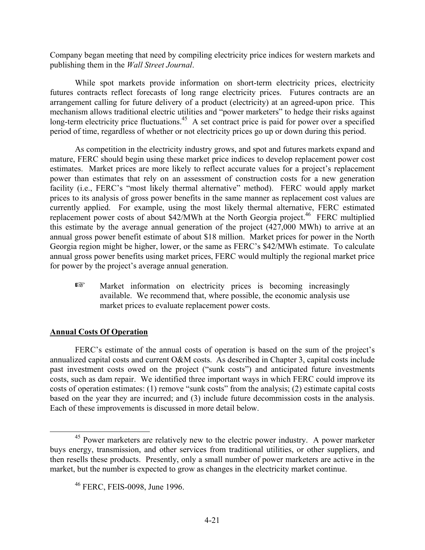Company began meeting that need by compiling electricity price indices for western markets and publishing them in the *Wall Street Journal*.

While spot markets provide information on short-term electricity prices, electricity futures contracts reflect forecasts of long range electricity prices. Futures contracts are an arrangement calling for future delivery of a product (electricity) at an agreed-upon price. This mechanism allows traditional electric utilities and "power marketers" to hedge their risks against long-term electricity price fluctuations.<sup>45</sup> A set contract price is paid for power over a specified period of time, regardless of whether or not electricity prices go up or down during this period.

As competition in the electricity industry grows, and spot and futures markets expand and mature, FERC should begin using these market price indices to develop replacement power cost estimates. Market prices are more likely to reflect accurate values for a project's replacement power than estimates that rely on an assessment of construction costs for a new generation facility (i.e., FERC's "most likely thermal alternative" method). FERC would apply market prices to its analysis of gross power benefits in the same manner as replacement cost values are currently applied. For example, using the most likely thermal alternative, FERC estimated replacement power costs of about  $$42/MWh$  at the North Georgia project.<sup>46</sup> FERC multiplied this estimate by the average annual generation of the project (427,000 MWh) to arrive at an annual gross power benefit estimate of about \$18 million. Market prices for power in the North Georgia region might be higher, lower, or the same as FERC's \$42/MWh estimate. To calculate annual gross power benefits using market prices, FERC would multiply the regional market price for power by the project's average annual generation.

**ES** Market information on electricity prices is becoming increasingly available. We recommend that, where possible, the economic analysis use market prices to evaluate replacement power costs.

# **Annual Costs Of Operation**

FERC's estimate of the annual costs of operation is based on the sum of the project's annualized capital costs and current O&M costs. As described in Chapter 3, capital costs include past investment costs owed on the project ("sunk costs") and anticipated future investments costs, such as dam repair. We identified three important ways in which FERC could improve its costs of operation estimates: (1) remove "sunk costs" from the analysis; (2) estimate capital costs based on the year they are incurred; and (3) include future decommission costs in the analysis. Each of these improvements is discussed in more detail below.

<sup>&</sup>lt;sup>45</sup> Power marketers are relatively new to the electric power industry. A power marketer buys energy, transmission, and other services from traditional utilities, or other suppliers, and then resells these products. Presently, only a small number of power marketers are active in the market, but the number is expected to grow as changes in the electricity market continue.

<sup>46</sup> FERC, FEIS-0098, June 1996.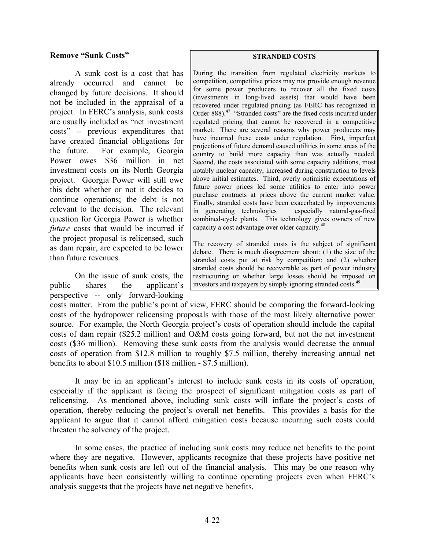### **Remove "Sunk Costs"**

A sunk cost is a cost that has already occurred and cannot be changed by future decisions. It should not be included in the appraisal of a project. In FERC's analysis, sunk costs are usually included as "net investment costs" -- previous expenditures that have created financial obligations for the future. For example, Georgia Power owes \$36 million in net investment costs on its North Georgia project. Georgia Power will still owe this debt whether or not it decides to continue operations; the debt is not relevant to the decision. The relevant question for Georgia Power is whether *future* costs that would be incurred if the project proposal is relicensed, such as dam repair, are expected to be lower than future revenues.

On the issue of sunk costs, the public shares the applicant's perspective -- only forward-looking

#### **STRANDED COSTS**

During the transition from regulated electricity markets to competition, competitive prices may not provide enough revenue for some power producers to recover all the fixed costs (investments in long-lived assets) that would have been recovered under regulated pricing (as FERC has recognized in Order 888).<sup>47</sup> "Stranded costs" are the fixed costs incurred under regulated pricing that cannot be recovered in a competitive market. There are several reasons why power producers may have incurred these costs under regulation. First, imperfect projections of future demand caused utilities in some areas of the country to build more capacity than was actually needed. Second, the costs associated with some capacity additions, most notably nuclear capacity, increased during construction to levels above initial estimates. Third, overly optimistic expectations of future power prices led some utilities to enter into power purchase contracts at prices above the current market value. Finally, stranded costs have been exacerbated by improvements in generating technologies combined-cycle plants. This technology gives owners of new capacity a cost advantage over older capacity.<sup>48</sup> especially natural-gas-fired

The recovery of stranded costs is the subject of significant debate. There is much disagreement about: (1) the size of the stranded costs put at risk by competition; and (2) whether stranded costs should be recoverable as part of power industry restructuring or whether large losses should be imposed on investors and taxpayers by simply ignoring stranded costs.<sup>49</sup>

costs matter. From the public's point of view, FERC should be comparing the forward-looking costs of the hydropower relicensing proposals with those of the most likely alternative power source. For example, the North Georgia project's costs of operation should include the capital costs of dam repair (\$25.2 million) and O&M costs going forward, but not the net investment costs (\$36 million). Removing these sunk costs from the analysis would decrease the annual costs of operation from \$12.8 million to roughly \$7.5 million, thereby increasing annual net benefits to about \$10.5 million (\$18 million - \$7.5 million).

It may be in an applicant's interest to include sunk costs in its costs of operation, especially if the applicant is facing the prospect of significant mitigation costs as part of relicensing. As mentioned above, including sunk costs will inflate the project's costs of operation, thereby reducing the project's overall net benefits. This provides a basis for the applicant to argue that it cannot afford mitigation costs because incurring such costs could threaten the solvency of the project.

In some cases, the practice of including sunk costs may reduce net benefits to the point where they are negative. However, applicants recognize that these projects have positive net benefits when sunk costs are left out of the financial analysis. This may be one reason why applicants have been consistently willing to continue operating projects even when FERC's analysis suggests that the projects have net negative benefits.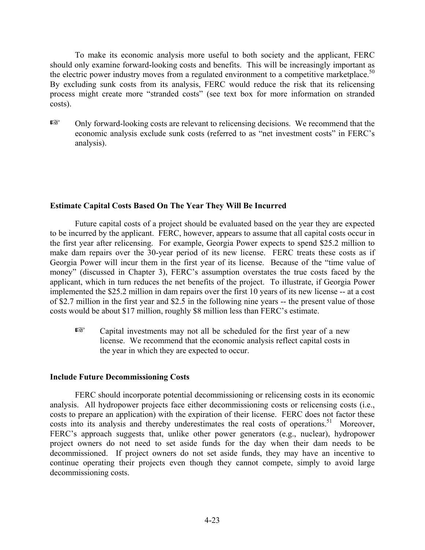To make its economic analysis more useful to both society and the applicant, FERC should only examine forward-looking costs and benefits. This will be increasingly important as the electric power industry moves from a regulated environment to a competitive marketplace.<sup>50</sup> By excluding sunk costs from its analysis, FERC would reduce the risk that its relicensing process might create more "stranded costs" (see text box for more information on stranded costs).

 $E^*$  Only forward-looking costs are relevant to relicensing decisions. We recommend that the economic analysis exclude sunk costs (referred to as "net investment costs" in FERC's analysis).

### **Estimate Capital Costs Based On The Year They Will Be Incurred**

Future capital costs of a project should be evaluated based on the year they are expected to be incurred by the applicant. FERC, however, appears to assume that all capital costs occur in the first year after relicensing. For example, Georgia Power expects to spend \$25.2 million to make dam repairs over the 30-year period of its new license. FERC treats these costs as if Georgia Power will incur them in the first year of its license. Because of the "time value of money" (discussed in Chapter 3), FERC's assumption overstates the true costs faced by the applicant, which in turn reduces the net benefits of the project. To illustrate, if Georgia Power implemented the \$25.2 million in dam repairs over the first 10 years of its new license -- at a cost of \$2.7 million in the first year and \$2.5 in the following nine years -- the present value of those costs would be about \$17 million, roughly \$8 million less than FERC's estimate.

 $E^*$  Capital investments may not all be scheduled for the first year of a new license. We recommend that the economic analysis reflect capital costs in the year in which they are expected to occur.

#### **Include Future Decommissioning Costs**

FERC should incorporate potential decommissioning or relicensing costs in its economic analysis. All hydropower projects face either decommissioning costs or relicensing costs (i.e., costs to prepare an application) with the expiration of their license. FERC does not factor these costs into its analysis and thereby underestimates the real costs of operations.<sup>51</sup> Moreover, FERC's approach suggests that, unlike other power generators (e.g., nuclear), hydropower project owners do not need to set aside funds for the day when their dam needs to be decommissioned. If project owners do not set aside funds, they may have an incentive to continue operating their projects even though they cannot compete, simply to avoid large decommissioning costs.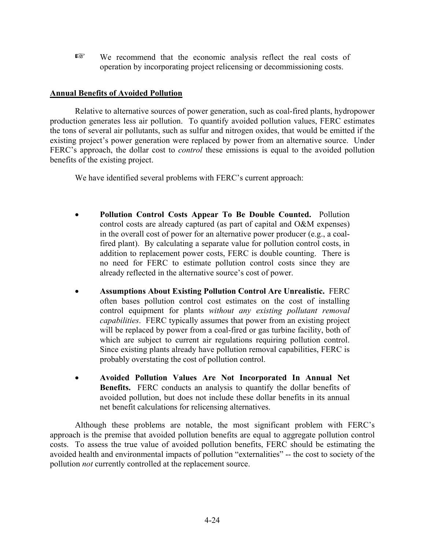**EXECU** We recommend that the economic analysis reflect the real costs of operation by incorporating project relicensing or decommissioning costs.

# **Annual Benefits of Avoided Pollution**

Relative to alternative sources of power generation, such as coal-fired plants, hydropower production generates less air pollution. To quantify avoided pollution values, FERC estimates the tons of several air pollutants, such as sulfur and nitrogen oxides, that would be emitted if the existing project's power generation were replaced by power from an alternative source. Under FERC's approach, the dollar cost to *control* these emissions is equal to the avoided pollution benefits of the existing project.

We have identified several problems with FERC's current approach:

- **Pollution Control Costs Appear To Be Double Counted.** Pollution control costs are already captured (as part of capital and O&M expenses) in the overall cost of power for an alternative power producer (e.g., a coalfired plant). By calculating a separate value for pollution control costs, in addition to replacement power costs, FERC is double counting. There is no need for FERC to estimate pollution control costs since they are already reflected in the alternative source's cost of power.
- **Assumptions About Existing Pollution Control Are Unrealistic.** FERC often bases pollution control cost estimates on the cost of installing control equipment for plants *without any existing pollutant removal capabilities*. FERC typically assumes that power from an existing project will be replaced by power from a coal-fired or gas turbine facility, both of which are subject to current air regulations requiring pollution control. Since existing plants already have pollution removal capabilities, FERC is probably overstating the cost of pollution control.
- **Avoided Pollution Values Are Not Incorporated In Annual Net Benefits.** FERC conducts an analysis to quantify the dollar benefits of avoided pollution, but does not include these dollar benefits in its annual net benefit calculations for relicensing alternatives.

Although these problems are notable, the most significant problem with FERC's approach is the premise that avoided pollution benefits are equal to aggregate pollution control costs. To assess the true value of avoided pollution benefits, FERC should be estimating the avoided health and environmental impacts of pollution "externalities" -- the cost to society of the pollution *not* currently controlled at the replacement source.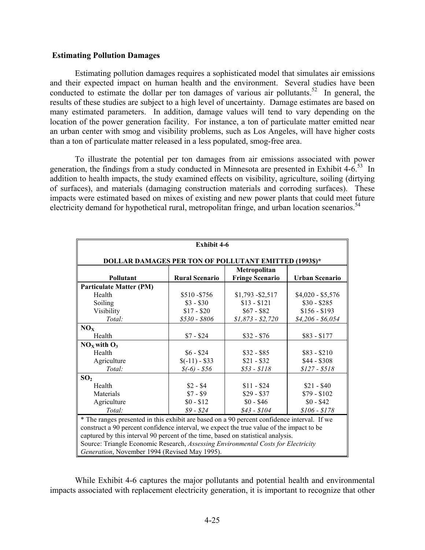#### **Estimating Pollution Damages**

Estimating pollution damages requires a sophisticated model that simulates air emissions and their expected impact on human health and the environment. Several studies have been conducted to estimate the dollar per ton damages of various air pollutants.<sup>52</sup> In general, the results of these studies are subject to a high level of uncertainty. Damage estimates are based on many estimated parameters. In addition, damage values will tend to vary depending on the location of the power generation facility. For instance, a ton of particulate matter emitted near an urban center with smog and visibility problems, such as Los Angeles, will have higher costs than a ton of particulate matter released in a less populated, smog-free area.

To illustrate the potential per ton damages from air emissions associated with power generation, the findings from a study conducted in Minnesota are presented in Exhibit  $4-6.53$  In addition to health impacts, the study examined effects on visibility, agriculture, soiling (dirtying of surfaces), and materials (damaging construction materials and corroding surfaces). These impacts were estimated based on mixes of existing and new power plants that could meet future electricity demand for hypothetical rural, metropolitan fringe, and urban location scenarios.<sup>54</sup>

| <b>Exhibit 4-6</b>                                                                                                                                                                                                                                                                                                                                                                                                |                       |                                        |                       |  |
|-------------------------------------------------------------------------------------------------------------------------------------------------------------------------------------------------------------------------------------------------------------------------------------------------------------------------------------------------------------------------------------------------------------------|-----------------------|----------------------------------------|-----------------------|--|
| <b>DOLLAR DAMAGES PER TON OF POLLUTANT EMITTED (1993\$)*</b>                                                                                                                                                                                                                                                                                                                                                      |                       |                                        |                       |  |
| Pollutant                                                                                                                                                                                                                                                                                                                                                                                                         | <b>Rural Scenario</b> | Metropolitan<br><b>Fringe Scenario</b> | <b>Urban Scenario</b> |  |
| <b>Particulate Matter (PM)</b>                                                                                                                                                                                                                                                                                                                                                                                    |                       |                                        |                       |  |
| Health                                                                                                                                                                                                                                                                                                                                                                                                            | \$510-\$756           | $$1,793 - $2,517$                      | $$4,020 - $5,576$     |  |
| Soiling                                                                                                                                                                                                                                                                                                                                                                                                           | $$3 - $30$            | $$13 - $121$                           | $$30 - $285$          |  |
| Visibility                                                                                                                                                                                                                                                                                                                                                                                                        | $$17 - $20$           | $$67 - $82$                            | $$156 - $193$         |  |
| Total:                                                                                                                                                                                                                                                                                                                                                                                                            | $$530 - $806$         | $$1,873 - $2,720$                      | $$4,206 - $6,054$     |  |
| NO <sub>x</sub>                                                                                                                                                                                                                                                                                                                                                                                                   |                       |                                        |                       |  |
| Health                                                                                                                                                                                                                                                                                                                                                                                                            | $$7 - $24$            | $$32 - $76$                            | $$83 - $177$          |  |
| $NOx$ with $O3$                                                                                                                                                                                                                                                                                                                                                                                                   |                       |                                        |                       |  |
| Health                                                                                                                                                                                                                                                                                                                                                                                                            | $$6 - $24$            | $$32 - $85$                            | $$83 - $210$          |  |
| Agriculture                                                                                                                                                                                                                                                                                                                                                                                                       | $(-11) - $33$         | $$21 - $32$                            | $$44 - $308$          |  |
| Total:                                                                                                                                                                                                                                                                                                                                                                                                            | $$(-6) - $56$         | $$53 - $118$                           | $$127 - $518$         |  |
| SO <sub>2</sub>                                                                                                                                                                                                                                                                                                                                                                                                   |                       |                                        |                       |  |
| Health                                                                                                                                                                                                                                                                                                                                                                                                            | $$2 - $4$             | $$11 - $24$                            | $$21 - $40$           |  |
| Materials                                                                                                                                                                                                                                                                                                                                                                                                         | $$7 - $9$             | $$29 - $37$                            | $$79 - $102$          |  |
| Agriculture                                                                                                                                                                                                                                                                                                                                                                                                       | $$0 - $12$            | $$0 - $46$                             | $$0 - $42$$           |  |
| Total:                                                                                                                                                                                                                                                                                                                                                                                                            | $$9 - $24$            | $$43 - $104$$                          | $$106 - $178$         |  |
| * The ranges presented in this exhibit are based on a 90 percent confidence interval. If we<br>construct a 90 percent confidence interval, we expect the true value of the impact to be<br>captured by this interval 90 percent of the time, based on statistical analysis.<br>Source: Triangle Economic Research, Assessing Environmental Costs for Electricity<br>Generation, November 1994 (Revised May 1995). |                       |                                        |                       |  |

While Exhibit 4-6 captures the major pollutants and potential health and environmental impacts associated with replacement electricity generation, it is important to recognize that other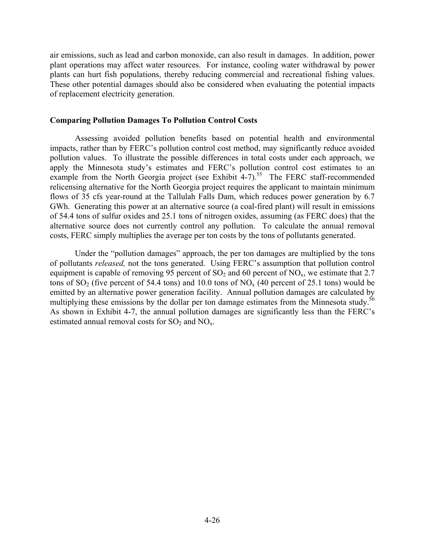air emissions, such as lead and carbon monoxide, can also result in damages. In addition, power plant operations may affect water resources. For instance, cooling water withdrawal by power plants can hurt fish populations, thereby reducing commercial and recreational fishing values. These other potential damages should also be considered when evaluating the potential impacts of replacement electricity generation.

### **Comparing Pollution Damages To Pollution Control Costs**

Assessing avoided pollution benefits based on potential health and environmental impacts, rather than by FERC's pollution control cost method, may significantly reduce avoided pollution values. To illustrate the possible differences in total costs under each approach, we apply the Minnesota study's estimates and FERC's pollution control cost estimates to an example from the North Georgia project (see Exhibit  $4-7$ ).<sup>55</sup> The FERC staff-recommended relicensing alternative for the North Georgia project requires the applicant to maintain minimum flows of 35 cfs year-round at the Tallulah Falls Dam, which reduces power generation by 6.7 GWh. Generating this power at an alternative source (a coal-fired plant) will result in emissions of 54.4 tons of sulfur oxides and 25.1 tons of nitrogen oxides, assuming (as FERC does) that the alternative source does not currently control any pollution. To calculate the annual removal costs, FERC simply multiplies the average per ton costs by the tons of pollutants generated.

Under the "pollution damages" approach, the per ton damages are multiplied by the tons of pollutants *released,* not the tons generated. Using FERC's assumption that pollution control equipment is capable of removing 95 percent of SO<sub>2</sub> and 60 percent of NO<sub>x</sub>, we estimate that 2.7 tons of  $SO_2$  (five percent of 54.4 tons) and 10.0 tons of  $NO<sub>x</sub>$  (40 percent of 25.1 tons) would be emitted by an alternative power generation facility. Annual pollution damages are calculated by multiplying these emissions by the dollar per ton damage estimates from the Minnesota study.<sup>56</sup> As shown in Exhibit 4-7, the annual pollution damages are significantly less than the FERC's estimated annual removal costs for  $SO_2$  and  $NO<sub>x</sub>$ .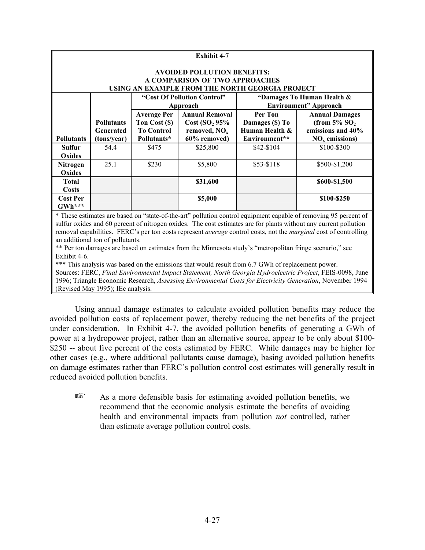| Exhibit 4-7       |                                    |                             |                           |                                                 |                               |  |
|-------------------|------------------------------------|-----------------------------|---------------------------|-------------------------------------------------|-------------------------------|--|
|                   | <b>AVOIDED POLLUTION BENEFITS:</b> |                             |                           |                                                 |                               |  |
|                   | A COMPARISON OF TWO APPROACHES     |                             |                           |                                                 |                               |  |
|                   |                                    |                             |                           | USING AN EXAMPLE FROM THE NORTH GEORGIA PROJECT |                               |  |
|                   |                                    | "Cost Of Pollution Control" |                           | "Damages To Human Health &                      |                               |  |
|                   |                                    | Approach                    |                           |                                                 | <b>Environment</b> " Approach |  |
|                   |                                    | <b>Average Per</b>          | <b>Annual Removal</b>     | Per Ton                                         | <b>Annual Damages</b>         |  |
|                   | <b>Pollutants</b>                  | Ton Cost (\$)               | Cost(SO <sub>2</sub> 95%) | Damages (\$) To                                 | (from $5\%$ SO <sub>2</sub>   |  |
|                   | Generated                          | <b>To Control</b>           | removed, $NOx$            | Human Health &                                  | emissions and 40%             |  |
| <b>Pollutants</b> | (tons/year)                        | Pollutants*                 | 60% removed)              | Environment**                                   | $NOx$ emissions)              |  |
| Sulfur            | 54.4                               | \$475                       | \$25,800                  | \$42-\$104                                      | \$100-\$300                   |  |
| Oxides            |                                    |                             |                           |                                                 |                               |  |
| <b>Nitrogen</b>   | 25.1                               | \$230                       | \$5,800                   | \$53-\$118                                      | \$500-\$1,200                 |  |
| Oxides            |                                    |                             |                           |                                                 |                               |  |
| <b>Total</b>      |                                    |                             | \$31,600                  |                                                 | \$600-\$1,500                 |  |
| <b>Costs</b>      |                                    |                             |                           |                                                 |                               |  |
| <b>Cost Per</b>   |                                    |                             | \$5,000                   |                                                 | \$100-\$250                   |  |
| GWh***            |                                    |                             |                           |                                                 |                               |  |

\* These estimates are based on "state-of-the-art" pollution control equipment capable of removing 95 percent of sulfur oxides and 60 percent of nitrogen oxides. The cost estimates are for plants without any current pollution removal capabilities. FERC's per ton costs represent *average* control costs, not the *marginal* cost of controlling an additional ton of pollutants.

\*\* Per ton damages are based on estimates from the Minnesota study's "metropolitan fringe scenario," see Exhibit 4-6.

\*\*\* This analysis was based on the emissions that would result from 6.7 GWh of replacement power.

Sources: FERC, *Final Environmental Impact Statement, North Georgia Hydroelectric Project*, FEIS-0098, June 1996; Triangle Economic Research, *Assessing Environmental Costs for Electricity Generation*, November 1994 (Revised May 1995); IEc analysis.

Using annual damage estimates to calculate avoided pollution benefits may reduce the avoided pollution costs of replacement power, thereby reducing the net benefits of the project under consideration. In Exhibit 4-7, the avoided pollution benefits of generating a GWh of power at a hydropower project, rather than an alternative source, appear to be only about \$100- \$250 -- about five percent of the costs estimated by FERC. While damages may be higher for other cases (e.g., where additional pollutants cause damage), basing avoided pollution benefits on damage estimates rather than FERC's pollution control cost estimates will generally result in reduced avoided pollution benefits.

 $E \rightarrow \text{As a more defensive basis for estimating avoided pollution benefits, we}$ recommend that the economic analysis estimate the benefits of avoiding health and environmental impacts from pollution *not* controlled, rather than estimate average pollution control costs.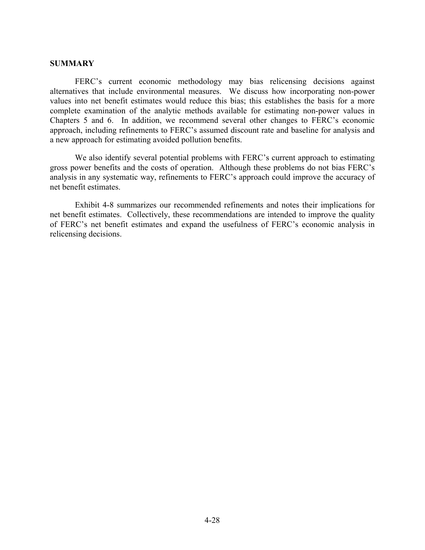#### **SUMMARY**

FERC's current economic methodology may bias relicensing decisions against alternatives that include environmental measures. We discuss how incorporating non-power values into net benefit estimates would reduce this bias; this establishes the basis for a more complete examination of the analytic methods available for estimating non-power values in Chapters 5 and 6. In addition, we recommend several other changes to FERC's economic approach, including refinements to FERC's assumed discount rate and baseline for analysis and a new approach for estimating avoided pollution benefits.

We also identify several potential problems with FERC's current approach to estimating gross power benefits and the costs of operation. Although these problems do not bias FERC's analysis in any systematic way, refinements to FERC's approach could improve the accuracy of net benefit estimates.

Exhibit 4-8 summarizes our recommended refinements and notes their implications for net benefit estimates. Collectively, these recommendations are intended to improve the quality of FERC's net benefit estimates and expand the usefulness of FERC's economic analysis in relicensing decisions.